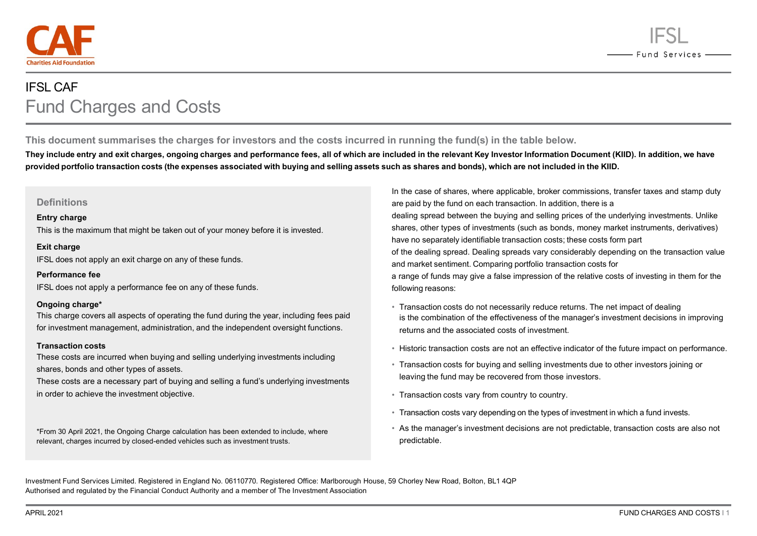



# IFSL CAF Fund Charges and Costs

**This document summarises the charges for investors and the costs incurred in running the fund(s) in the table below.**

**They include entry and exit charges, ongoing charges and performance fees, all of which are included in the relevant Key Investor Information Document (KIID). In addition, we have**  provided portfolio transaction costs (the expenses associated with buying and selling assets such as shares and bonds), which are not included in the KIID.

## **Definitions**

#### **Entry charge**

This is the maximum that might be taken out of your money before it is invested.

#### **Exit charge**

IFSL does not apply an exit charge on any of these funds.

#### **Performance fee**

IFSL does not apply a performance fee on any of these funds.

## **Ongoing charge\***

This charge covers all aspects of operating the fund during the year, including fees paid for investment management, administration, and the independent oversight functions.

## **Transaction costs**

These costs are incurred when buying and selling underlying investments including shares, bonds and other types of assets.

These costs are a necessary part of buying and selling a fund's underlying investments in order to achieve the investment objective.

\*From 30 April 2021, the Ongoing Charge calculation has been extended to include, where relevant, charges incurred by closed-ended vehicles such as investment trusts.

In the case of shares, where applicable, broker commissions, transfer taxes and stamp duty are paid by the fund on each transaction. In addition, there is a dealing spread between the buying and selling prices of the underlying investments. Unlike shares, other types of investments (such as bonds, money market instruments, derivatives) have no separately identifiable transaction costs; these costs form part of the dealing spread. Dealing spreads vary considerably depending on the transaction value and market sentiment. Comparing portfolio transaction costs for a range of funds may give a false impression of the relative costs of investing in them for the following reasons:

- Transaction costs do not necessarily reduce returns. The net impact of dealing is the combination of the effectiveness of the manager's investment decisions in improving returns and the associated costs of investment.
- Historic transaction costs are not an effective indicator of the future impact on performance.
- Transaction costs for buying and selling investments due to other investors joining or leaving the fund may be recovered from those investors.
- Transaction costs vary from country to country.
- Transaction costs vary depending on the types of investment in which a fund invests.
- As the manager's investment decisions are not predictable, transaction costs are also not predictable.

Investment Fund Services Limited. Registered in England No. 06110770. Registered Office: Marlborough House, 59 Chorley New Road, Bolton, BL1 4QP Authorised and regulated by the Financial Conduct Authority and a member of The Investment Association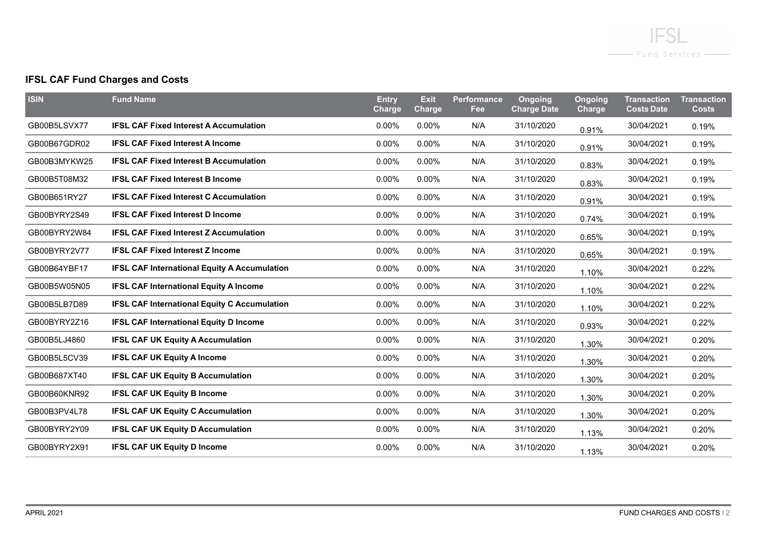

# **IFSL CAF Fund Charges and Costs**

| <b>ISIN</b>  | <b>Fund Name</b>                                    | <b>Entry</b><br>Charge | <b>Exit</b><br><b>Charge</b> | <b>Performance</b><br>Fee | <b>Ongoing</b><br><b>Charge Date</b> | <b>Ongoing</b><br>Charge | <b>Transaction</b><br><b>Costs Date</b> | <b>Transaction</b><br><b>Costs</b> |
|--------------|-----------------------------------------------------|------------------------|------------------------------|---------------------------|--------------------------------------|--------------------------|-----------------------------------------|------------------------------------|
| GB00B5LSVX77 | <b>IFSL CAF Fixed Interest A Accumulation</b>       | 0.00%                  | 0.00%                        | N/A                       | 31/10/2020                           | 0.91%                    | 30/04/2021                              | 0.19%                              |
| GB00B67GDR02 | <b>IFSL CAF Fixed Interest A Income</b>             | 0.00%                  | 0.00%                        | N/A                       | 31/10/2020                           | 0.91%                    | 30/04/2021                              | 0.19%                              |
| GB00B3MYKW25 | <b>IFSL CAF Fixed Interest B Accumulation</b>       | 0.00%                  | 0.00%                        | N/A                       | 31/10/2020                           | 0.83%                    | 30/04/2021                              | 0.19%                              |
| GB00B5T08M32 | <b>IFSL CAF Fixed Interest B Income</b>             | 0.00%                  | 0.00%                        | N/A                       | 31/10/2020                           | 0.83%                    | 30/04/2021                              | 0.19%                              |
| GB00B651RY27 | <b>IFSL CAF Fixed Interest C Accumulation</b>       | 0.00%                  | 0.00%                        | N/A                       | 31/10/2020                           | 0.91%                    | 30/04/2021                              | 0.19%                              |
| GB00BYRY2S49 | <b>IFSL CAF Fixed Interest D Income</b>             | 0.00%                  | 0.00%                        | N/A                       | 31/10/2020                           | 0.74%                    | 30/04/2021                              | 0.19%                              |
| GB00BYRY2W84 | <b>IFSL CAF Fixed Interest Z Accumulation</b>       | $0.00\%$               | $0.00\%$                     | N/A                       | 31/10/2020                           | 0.65%                    | 30/04/2021                              | 0.19%                              |
| GB00BYRY2V77 | <b>IFSL CAF Fixed Interest Z Income</b>             | $0.00\%$               | $0.00\%$                     | N/A                       | 31/10/2020                           | 0.65%                    | 30/04/2021                              | 0.19%                              |
| GB00B64YBF17 | <b>IFSL CAF International Equity A Accumulation</b> | 0.00%                  | 0.00%                        | N/A                       | 31/10/2020                           | 1.10%                    | 30/04/2021                              | 0.22%                              |
| GB00B5W05N05 | <b>IFSL CAF International Equity A Income</b>       | 0.00%                  | 0.00%                        | N/A                       | 31/10/2020                           | 1.10%                    | 30/04/2021                              | 0.22%                              |
| GB00B5LB7D89 | <b>IFSL CAF International Equity C Accumulation</b> | 0.00%                  | 0.00%                        | N/A                       | 31/10/2020                           | 1.10%                    | 30/04/2021                              | 0.22%                              |
| GB00BYRY2Z16 | <b>IFSL CAF International Equity D Income</b>       | 0.00%                  | 0.00%                        | N/A                       | 31/10/2020                           | 0.93%                    | 30/04/2021                              | 0.22%                              |
| GB00B5LJ4860 | <b>IFSL CAF UK Equity A Accumulation</b>            | 0.00%                  | 0.00%                        | N/A                       | 31/10/2020                           | 1.30%                    | 30/04/2021                              | 0.20%                              |
| GB00B5L5CV39 | <b>IFSL CAF UK Equity A Income</b>                  | 0.00%                  | 0.00%                        | N/A                       | 31/10/2020                           | 1.30%                    | 30/04/2021                              | 0.20%                              |
| GB00B687XT40 | <b>IFSL CAF UK Equity B Accumulation</b>            | 0.00%                  | 0.00%                        | N/A                       | 31/10/2020                           | 1.30%                    | 30/04/2021                              | 0.20%                              |
| GB00B60KNR92 | <b>IFSL CAF UK Equity B Income</b>                  | 0.00%                  | 0.00%                        | N/A                       | 31/10/2020                           | 1.30%                    | 30/04/2021                              | 0.20%                              |
| GB00B3PV4L78 | <b>IFSL CAF UK Equity C Accumulation</b>            | $0.00\%$               | $0.00\%$                     | N/A                       | 31/10/2020                           | 1.30%                    | 30/04/2021                              | 0.20%                              |
| GB00BYRY2Y09 | <b>IFSL CAF UK Equity D Accumulation</b>            | 0.00%                  | 0.00%                        | N/A                       | 31/10/2020                           | 1.13%                    | 30/04/2021                              | 0.20%                              |
| GB00BYRY2X91 | <b>IFSL CAF UK Equity D Income</b>                  | 0.00%                  | 0.00%                        | N/A                       | 31/10/2020                           | 1.13%                    | 30/04/2021                              | 0.20%                              |